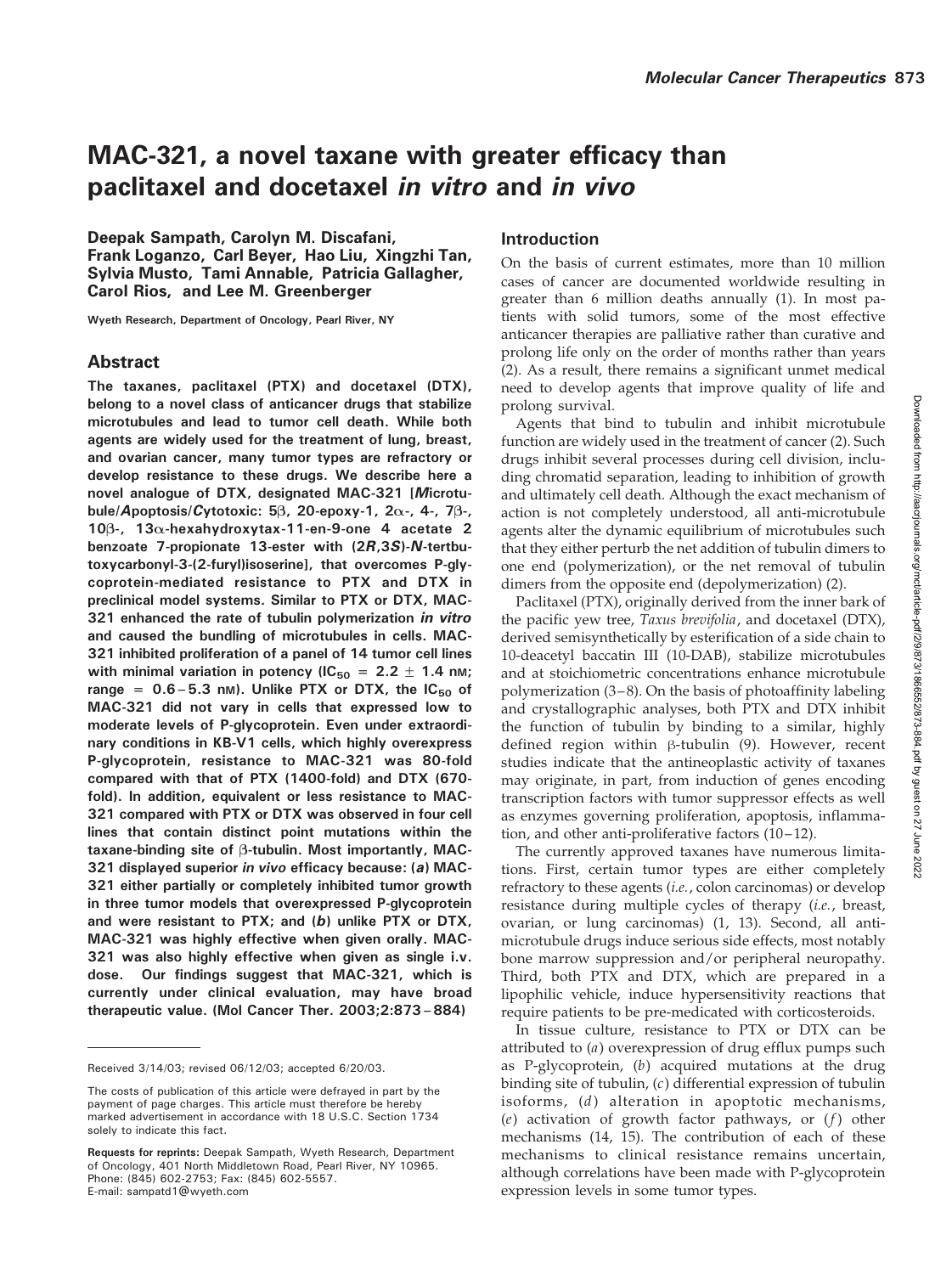# MAC-321, a novel taxane with greater efficacy than paclitaxel and docetaxel in vitro and in vivo

Deepak Sampath, Carolyn M. Discafani, Frank Loganzo, Carl Beyer, Hao Liu, Xingzhi Tan, Sylvia Musto, Tami Annable, Patricia Gallagher, Carol Rios, and Lee M. Greenberger

Wyeth Research, Department of Oncology, Pearl River, NY

# Abstract

The taxanes, paclitaxel (PTX) and docetaxel (DTX), belong to a novel class of anticancer drugs that stabilize microtubules and lead to tumor cell death. While both agents are widely used for the treatment of lung, breast, and ovarian cancer, many tumor types are refractory or develop resistance to these drugs. We describe here a novel analogue of DTX, designated MAC-321 [Microtubule/Apoptosis/Cytotoxic: 5 $\beta$ , 20-epoxy-1, 2 $\alpha$ -, 4-, 7 $\beta$ -, 10 $\beta$ -, 13 $\alpha$ -hexahydroxytax-11-en-9-one 4 acetate 2 benzoate 7-propionate 13-ester with (2R,3S)-N-tertbutoxycarbonyl-3-(2-furyl)isoserine], that overcomes P-glycoprotein-mediated resistance to PTX and DTX in preclinical model systems. Similar to PTX or DTX, MAC-321 enhanced the rate of tubulin polymerization in vitro and caused the bundling of microtubules in cells. MAC-321 inhibited proliferation of a panel of 14 tumor cell lines with minimal variation in potency (IC<sub>50</sub> = 2.2  $\pm$  1.4 nm; range =  $0.6 - 5.3$  nm). Unlike PTX or DTX, the IC<sub>50</sub> of MAC-321 did not vary in cells that expressed low to moderate levels of P-glycoprotein. Even under extraordinary conditions in KB-V1 cells, which highly overexpress P-glycoprotein, resistance to MAC-321 was 80-fold compared with that of PTX (1400-fold) and DTX (670 fold). In addition, equivalent or less resistance to MAC-321 compared with PTX or DTX was observed in four cell lines that contain distinct point mutations within the taxane-binding site of  $\beta$ -tubulin. Most importantly, MAC-321 displayed superior in vivo efficacy because: (a) MAC-321 either partially or completely inhibited tumor growth in three tumor models that overexpressed P-glycoprotein and were resistant to PTX; and (b) unlike PTX or DTX, MAC-321 was highly effective when given orally. MAC-321 was also highly effective when given as single i.v. dose. Our findings suggest that MAC-321, which is currently under clinical evaluation, may have broad therapeutic value. (Mol Cancer Ther. 2003;2:873–884)

Received 3/14/03; revised 06/12/03; accepted 6/20/03.

# Introduction

On the basis of current estimates, more than 10 million cases of cancer are documented worldwide resulting in greater than 6 million deaths annually (1). In most patients with solid tumors, some of the most effective anticancer therapies are palliative rather than curative and prolong life only on the order of months rather than years (2). As a result, there remains a significant unmet medical need to develop agents that improve quality of life and prolong survival.

Agents that bind to tubulin and inhibit microtubule function are widely used in the treatment of cancer (2). Such drugs inhibit several processes during cell division, including chromatid separation, leading to inhibition of growth and ultimately cell death. Although the exact mechanism of action is not completely understood, all anti-microtubule agents alter the dynamic equilibrium of microtubules such that they either perturb the net addition of tubulin dimers to one end (polymerization), or the net removal of tubulin dimers from the opposite end (depolymerization) (2).

Paclitaxel (PTX), originally derived from the inner bark of the pacific yew tree, Taxus brevifolia, and docetaxel (DTX), derived semisynthetically by esterification of a side chain to 10-deacetyl baccatin III (10-DAB), stabilize microtubules and at stoichiometric concentrations enhance microtubule polymerization (3–8). On the basis of photoaffinity labeling and crystallographic analyses, both PTX and DTX inhibit the function of tubulin by binding to a similar, highly defined region within  $\beta$ -tubulin (9). However, recent studies indicate that the antineoplastic activity of taxanes may originate, in part, from induction of genes encoding transcription factors with tumor suppressor effects as well as enzymes governing proliferation, apoptosis, inflammation, and other anti-proliferative factors (10–12).

The currently approved taxanes have numerous limitations. First, certain tumor types are either completely refractory to these agents (*i.e.*, colon carcinomas) or develop resistance during multiple cycles of therapy (i.e., breast, ovarian, or lung carcinomas) (1, 13). Second, all antimicrotubule drugs induce serious side effects, most notably bone marrow suppression and/or peripheral neuropathy. Third, both PTX and DTX, which are prepared in a lipophilic vehicle, induce hypersensitivity reactions that require patients to be pre-medicated with corticosteroids.

In tissue culture, resistance to PTX or DTX can be attributed to (a) overexpression of drug efflux pumps such as P-glycoprotein, (b) acquired mutations at the drug binding site of tubulin, (c) differential expression of tubulin isoforms,  $(d)$  alteration in apoptotic mechanisms, (e) activation of growth factor pathways, or  $(f)$  other mechanisms (14, 15). The contribution of each of these mechanisms to clinical resistance remains uncertain, although correlations have been made with P-glycoprotein expression levels in some tumor types.

The costs of publication of this article were defrayed in part by the payment of page charges. This article must therefore be hereby marked advertisement in accordance with 18 U.S.C. Section 1734 solely to indicate this fact.

Requests for reprints: Deepak Sampath, Wyeth Research, Department of Oncology, 401 North Middletown Road, Pearl River, NY 10965. Phone: (845) 602-2753; Fax: (845) 602-5557. E-mail: sampatd1@wyeth.com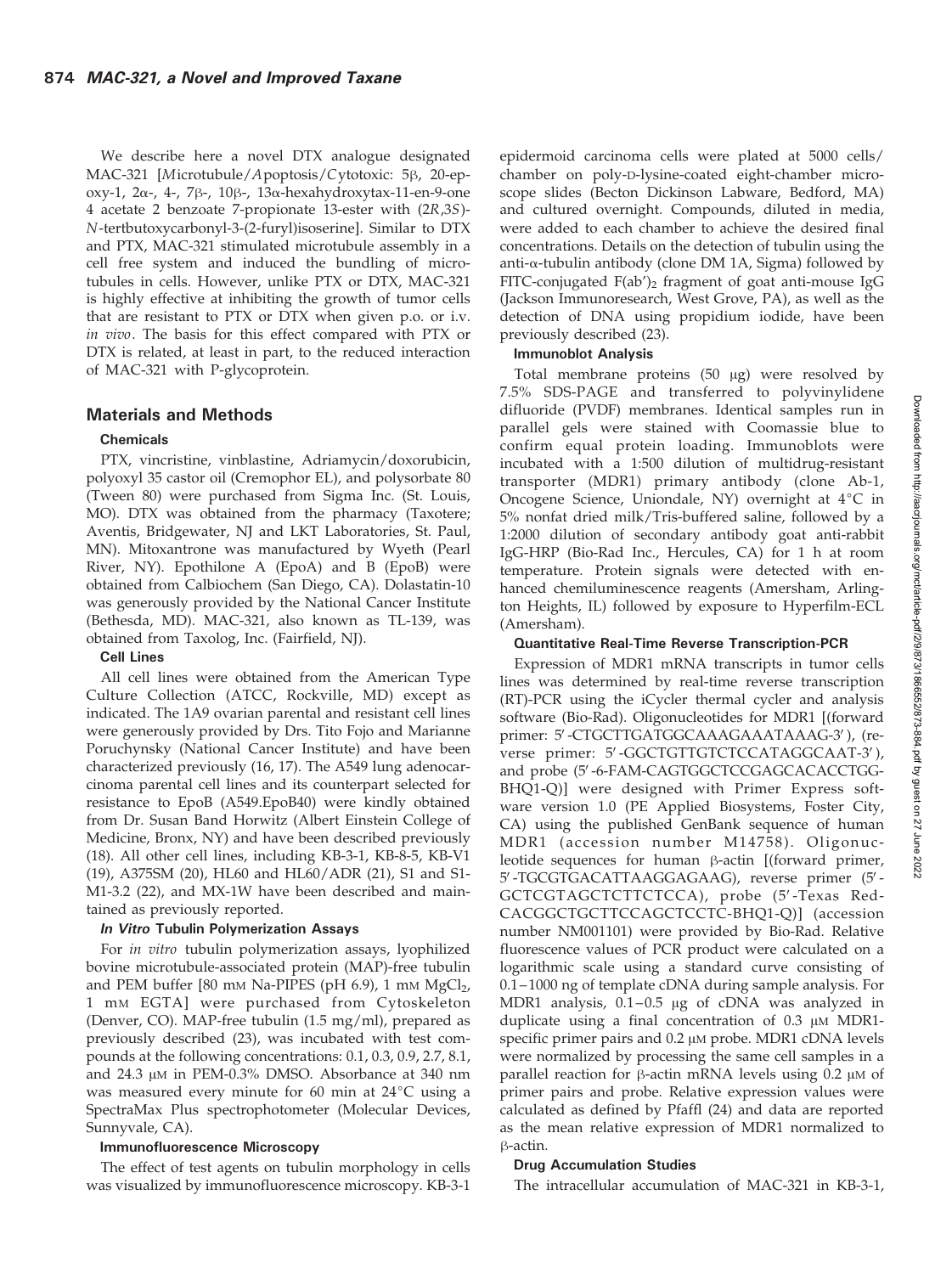We describe here a novel DTX analogue designated MAC-321 [Microtubule/Apoptosis/Cytotoxic: 5 $\beta$ , 20-epoxy-1,  $2\alpha$ -, 4-,  $7\beta$ -,  $10\beta$ -,  $13\alpha$ -hexahydroxytax-11-en-9-one 4 acetate 2 benzoate 7-propionate 13-ester with (2R,3S)- N-tertbutoxycarbonyl-3-(2-furyl)isoserine]. Similar to DTX and PTX, MAC-321 stimulated microtubule assembly in a cell free system and induced the bundling of microtubules in cells. However, unlike PTX or DTX, MAC-321 is highly effective at inhibiting the growth of tumor cells that are resistant to PTX or DTX when given p.o. or i.v. in vivo. The basis for this effect compared with PTX or DTX is related, at least in part, to the reduced interaction of MAC-321 with P-glycoprotein.

## Materials and Methods

## Chemicals

PTX, vincristine, vinblastine, Adriamycin/doxorubicin, polyoxyl 35 castor oil (Cremophor EL), and polysorbate 80 (Tween 80) were purchased from Sigma Inc. (St. Louis, MO). DTX was obtained from the pharmacy (Taxotere; Aventis, Bridgewater, NJ and LKT Laboratories, St. Paul, MN). Mitoxantrone was manufactured by Wyeth (Pearl River, NY). Epothilone A (EpoA) and B (EpoB) were obtained from Calbiochem (San Diego, CA). Dolastatin-10 was generously provided by the National Cancer Institute (Bethesda, MD). MAC-321, also known as TL-139, was obtained from Taxolog, Inc. (Fairfield, NJ).

## Cell Lines

All cell lines were obtained from the American Type Culture Collection (ATCC, Rockville, MD) except as indicated. The 1A9 ovarian parental and resistant cell lines were generously provided by Drs. Tito Fojo and Marianne Poruchynsky (National Cancer Institute) and have been characterized previously (16, 17). The A549 lung adenocarcinoma parental cell lines and its counterpart selected for resistance to EpoB (A549.EpoB40) were kindly obtained from Dr. Susan Band Horwitz (Albert Einstein College of Medicine, Bronx, NY) and have been described previously (18). All other cell lines, including KB-3-1, KB-8-5, KB-V1 (19), A375SM (20), HL60 and HL60/ADR (21), S1 and S1- M1-3.2 (22), and MX-1W have been described and maintained as previously reported.

## In Vitro Tubulin Polymerization Assays

For in vitro tubulin polymerization assays, lyophilized bovine microtubule-associated protein (MAP)-free tubulin and PEM buffer [80 mm Na-PIPES (pH 6.9), 1 mm  $MgCl<sub>2</sub>$ , 1 mM EGTA] were purchased from Cytoskeleton (Denver, CO). MAP-free tubulin (1.5 mg/ml), prepared as previously described (23), was incubated with test compounds at the following concentrations: 0.1, 0.3, 0.9, 2.7, 8.1, and  $24.3 \mu$ M in PEM-0.3% DMSO. Absorbance at 340 nm was measured every minute for 60 min at  $24^{\circ}$ C using a SpectraMax Plus spectrophotometer (Molecular Devices, Sunnyvale, CA).

## Immunofluorescence Microscopy

The effect of test agents on tubulin morphology in cells was visualized by immunofluorescence microscopy. KB-3-1 epidermoid carcinoma cells were plated at 5000 cells/ chamber on poly-D-lysine-coated eight-chamber microscope slides (Becton Dickinson Labware, Bedford, MA) and cultured overnight. Compounds, diluted in media, were added to each chamber to achieve the desired final concentrations. Details on the detection of tubulin using the anti- $\alpha$ -tubulin antibody (clone DM 1A, Sigma) followed by FITC-conjugated  $F(ab')_2$  fragment of goat anti-mouse IgG (Jackson Immunoresearch, West Grove, PA), as well as the detection of DNA using propidium iodide, have been previously described (23).

#### Immunoblot Analysis

Total membrane proteins  $(50 \text{ µg})$  were resolved by 7.5% SDS-PAGE and transferred to polyvinylidene difluoride (PVDF) membranes. Identical samples run in parallel gels were stained with Coomassie blue to confirm equal protein loading. Immunoblots were incubated with a 1:500 dilution of multidrug-resistant transporter (MDR1) primary antibody (clone Ab-1, Oncogene Science, Uniondale, NY) overnight at  $4^{\circ}C$  in 5% nonfat dried milk/Tris-buffered saline, followed by a 1:2000 dilution of secondary antibody goat anti-rabbit IgG-HRP (Bio-Rad Inc., Hercules, CA) for 1 h at room temperature. Protein signals were detected with enhanced chemiluminescence reagents (Amersham, Arlington Heights, IL) followed by exposure to Hyperfilm-ECL (Amersham).

## Quantitative Real-Time Reverse Transcription-PCR

Expression of MDR1 mRNA transcripts in tumor cells lines was determined by real-time reverse transcription (RT)-PCR using the iCycler thermal cycler and analysis software (Bio-Rad). Oligonucleotides for MDR1 [(forward primer: 5'-CTGCTTGATGGCAAAGAAATAAAG-3'), (reverse primer: 5'-GGCTGTTGTCTCCATAGGCAAT-3'), and probe (5'-6-FAM-CAGTGGCTCCGAGCACACCTGG-BHQ1-Q)] were designed with Primer Express software version 1.0 (PE Applied Biosystems, Foster City, CA) using the published GenBank sequence of human MDR1 (accession number M14758). Oligonucleotide sequences for human  $\beta$ -actin [(forward primer, 5'-TGCGTGACATTAAGGAGAAG), reverse primer (5'-GCTCGTAGCTCTTCTCCA), probe (5'-Texas Red-CACGGCTGCTTCCAGCTCCTC-BHQ1-Q)] (accession number NM001101) were provided by Bio-Rad. Relative fluorescence values of PCR product were calculated on a logarithmic scale using a standard curve consisting of 0.1–1000 ng of template cDNA during sample analysis. For MDR1 analysis,  $0.1-0.5$  µg of cDNA was analyzed in duplicate using a final concentration of  $0.3 \mu M$  MDR1specific primer pairs and  $0.2 \mu$ M probe. MDR1 cDNA levels were normalized by processing the same cell samples in a parallel reaction for  $\beta$ -actin mRNA levels using 0.2  $\mu$ M of primer pairs and probe. Relative expression values were calculated as defined by Pfaffl (24) and data are reported as the mean relative expression of MDR1 normalized to  $\beta$ -actin.

## Drug Accumulation Studies

The intracellular accumulation of MAC-321 in KB-3-1,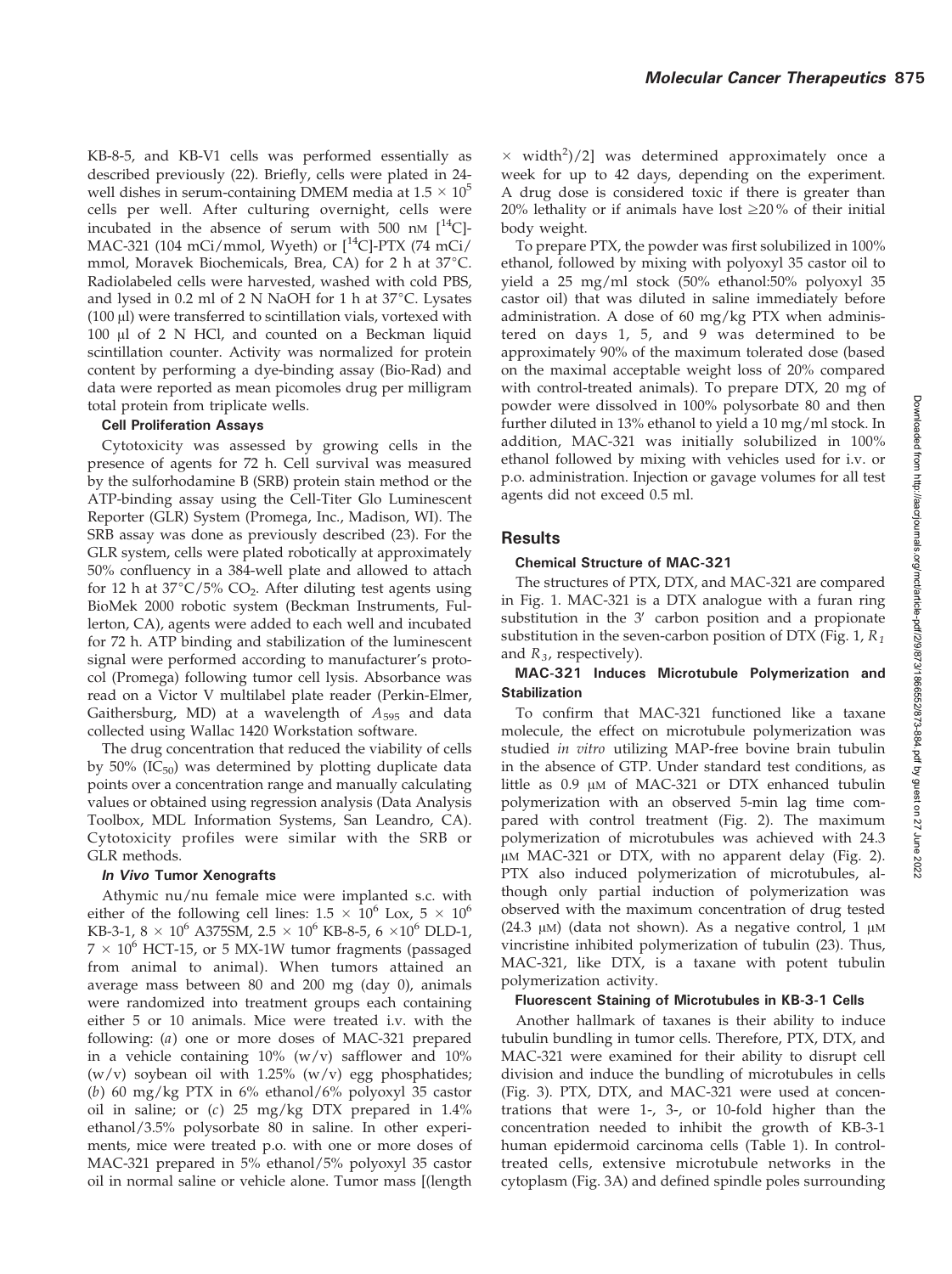Molecular Cancer Therapeutics 875

KB-8-5, and KB-V1 cells was performed essentially as described previously (22). Briefly, cells were plated in 24 well dishes in serum-containing DMEM media at  $1.5 \times 10^5$ cells per well. After culturing overnight, cells were incubated in the absence of serum with  $500$  nM  $[^{14}C]$ -MAC-321 (104 mCi/mmol, Wyeth) or  $[^{14}C]$ -PTX (74 mCi/ mmol, Moravek Biochemicals, Brea, CA) for 2 h at  $37^{\circ}$ C. Radiolabeled cells were harvested, washed with cold PBS, and lysed in 0.2 ml of 2 N NaOH for 1 h at  $37^{\circ}$ C. Lysates  $(100 \,\mu$ ) were transferred to scintillation vials, vortexed with  $100$   $\mu$ l of 2 N HCl, and counted on a Beckman liquid scintillation counter. Activity was normalized for protein content by performing a dye-binding assay (Bio-Rad) and data were reported as mean picomoles drug per milligram total protein from triplicate wells.

#### Cell Proliferation Assays

Cytotoxicity was assessed by growing cells in the presence of agents for 72 h. Cell survival was measured by the sulforhodamine B (SRB) protein stain method or the ATP-binding assay using the Cell-Titer Glo Luminescent Reporter (GLR) System (Promega, Inc., Madison, WI). The SRB assay was done as previously described (23). For the GLR system, cells were plated robotically at approximately 50% confluency in a 384-well plate and allowed to attach for 12 h at  $37^{\circ}$ C/5% CO<sub>2</sub>. After diluting test agents using BioMek 2000 robotic system (Beckman Instruments, Fullerton, CA), agents were added to each well and incubated for 72 h. ATP binding and stabilization of the luminescent signal were performed according to manufacturer's protocol (Promega) following tumor cell lysis. Absorbance was read on a Victor V multilabel plate reader (Perkin-Elmer, Gaithersburg, MD) at a wavelength of  $A_{595}$  and data collected using Wallac 1420 Workstation software.

The drug concentration that reduced the viability of cells by 50% (IC $_{50}$ ) was determined by plotting duplicate data points over a concentration range and manually calculating values or obtained using regression analysis (Data Analysis Toolbox, MDL Information Systems, San Leandro, CA). Cytotoxicity profiles were similar with the SRB or GLR methods.

#### In Vivo Tumor Xenografts

Athymic nu/nu female mice were implanted s.c. with either of the following cell lines:  $1.5 \times 10^6$  Lox,  $5 \times 10^6$ KB-3-1,  $8 \times 10^6$  A375SM,  $2.5 \times 10^6$  KB-8-5,  $6 \times 10^6$  DLD-1,  $7 \times 10^6$  HCT-15, or 5 MX-1W tumor fragments (passaged from animal to animal). When tumors attained an average mass between 80 and 200 mg (day 0), animals were randomized into treatment groups each containing either 5 or 10 animals. Mice were treated i.v. with the following: (a) one or more doses of MAC-321 prepared in a vehicle containing  $10\%$  (w/v) safflower and  $10\%$  $(w/v)$  soybean oil with 1.25%  $(w/v)$  egg phosphatides; (b) 60 mg/kg PTX in 6% ethanol/6% polyoxyl 35 castor oil in saline; or (c) 25 mg/kg DTX prepared in 1.4% ethanol/3.5% polysorbate 80 in saline. In other experiments, mice were treated p.o. with one or more doses of MAC-321 prepared in 5% ethanol/5% polyoxyl 35 castor oil in normal saline or vehicle alone. Tumor mass [(length

 $\times$  width<sup>2</sup>)/2] was determined approximately once a week for up to 42 days, depending on the experiment. A drug dose is considered toxic if there is greater than 20% lethality or if animals have lost  $\geq$ 20% of their initial body weight.

To prepare PTX, the powder was first solubilized in 100% ethanol, followed by mixing with polyoxyl 35 castor oil to yield a 25 mg/ml stock (50% ethanol:50% polyoxyl 35 castor oil) that was diluted in saline immediately before administration. A dose of 60 mg/kg PTX when administered on days 1, 5, and 9 was determined to be approximately 90% of the maximum tolerated dose (based on the maximal acceptable weight loss of 20% compared with control-treated animals). To prepare DTX, 20 mg of powder were dissolved in 100% polysorbate 80 and then further diluted in 13% ethanol to yield a 10 mg/ml stock. In addition, MAC-321 was initially solubilized in 100% ethanol followed by mixing with vehicles used for i.v. or p.o. administration. Injection or gavage volumes for all test agents did not exceed 0.5 ml.

## Results

#### Chemical Structure of MAC-321

The structures of PTX, DTX, and MAC-321 are compared in Fig. 1. MAC-321 is a DTX analogue with a furan ring substitution in the  $3'$  carbon position and a propionate substitution in the seven-carbon position of DTX (Fig. 1,  $R_1$ ) and  $R_3$ , respectively).

## MAC-321 Induces Microtubule Polymerization and **Stabilization**

To confirm that MAC-321 functioned like a taxane molecule, the effect on microtubule polymerization was studied in vitro utilizing MAP-free bovine brain tubulin in the absence of GTP. Under standard test conditions, as little as  $0.9 \mu M$  of MAC-321 or DTX enhanced tubulin polymerization with an observed 5-min lag time compared with control treatment (Fig. 2). The maximum polymerization of microtubules was achieved with 24.3 µM MAC-321 or DTX, with no apparent delay (Fig. 2). PTX also induced polymerization of microtubules, although only partial induction of polymerization was observed with the maximum concentration of drug tested (24.3  $\mu$ M) (data not shown). As a negative control, 1  $\mu$ M vincristine inhibited polymerization of tubulin (23). Thus, MAC-321, like DTX, is a taxane with potent tubulin polymerization activity.

#### Fluorescent Staining of Microtubules in KB-3-1 Cells

Another hallmark of taxanes is their ability to induce tubulin bundling in tumor cells. Therefore, PTX, DTX, and MAC-321 were examined for their ability to disrupt cell division and induce the bundling of microtubules in cells (Fig. 3). PTX, DTX, and MAC-321 were used at concentrations that were 1-, 3-, or 10-fold higher than the concentration needed to inhibit the growth of KB-3-1 human epidermoid carcinoma cells (Table 1). In controltreated cells, extensive microtubule networks in the cytoplasm (Fig. 3A) and defined spindle poles surrounding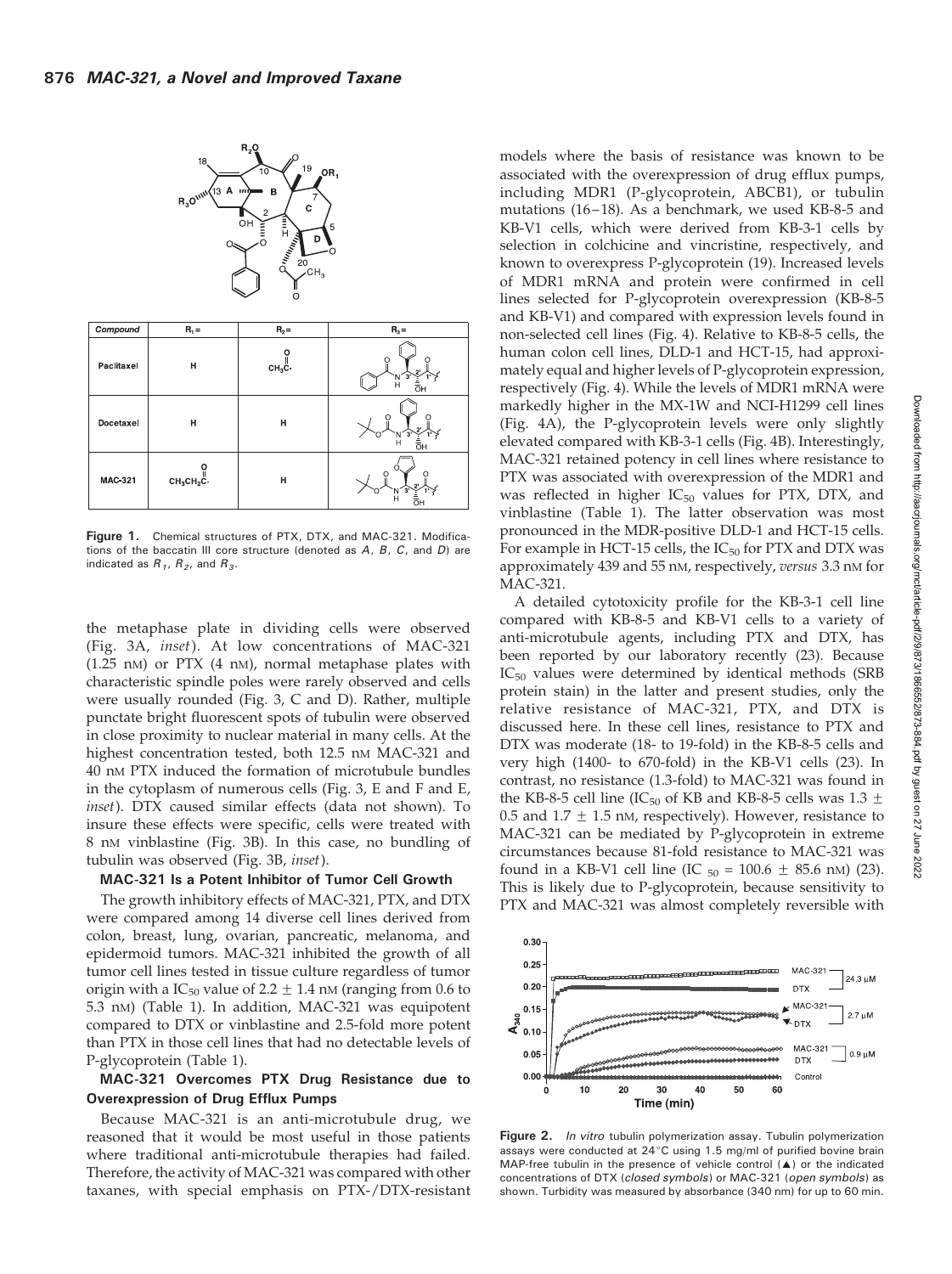

Figure 1. Chemical structures of PTX, DTX, and MAC-321. Modifications of the baccatin III core structure (denoted as A, B, C, and D) are indicated as  $R_1$ ,  $R_2$ , and  $R_3$ .

the metaphase plate in dividing cells were observed (Fig. 3A, inset). At low concentrations of MAC-321 (1.25 nM) or PTX (4 nM), normal metaphase plates with characteristic spindle poles were rarely observed and cells were usually rounded (Fig. 3, C and D). Rather, multiple punctate bright fluorescent spots of tubulin were observed in close proximity to nuclear material in many cells. At the highest concentration tested, both 12.5 nM MAC-321 and 40 nM PTX induced the formation of microtubule bundles in the cytoplasm of numerous cells (Fig. 3, E and F and E, inset). DTX caused similar effects (data not shown). To insure these effects were specific, cells were treated with 8 nM vinblastine (Fig. 3B). In this case, no bundling of tubulin was observed (Fig. 3B, inset).

#### MAC-321 Is a Potent Inhibitor of Tumor Cell Growth

The growth inhibitory effects of MAC-321, PTX, and DTX were compared among 14 diverse cell lines derived from colon, breast, lung, ovarian, pancreatic, melanoma, and epidermoid tumors. MAC-321 inhibited the growth of all tumor cell lines tested in tissue culture regardless of tumor origin with a IC<sub>50</sub> value of 2.2  $\pm$  1.4 nM (ranging from 0.6 to 5.3 nM) (Table 1). In addition, MAC-321 was equipotent compared to DTX or vinblastine and 2.5-fold more potent than PTX in those cell lines that had no detectable levels of P-glycoprotein (Table 1).

## MAC-321 Overcomes PTX Drug Resistance due to Overexpression of Drug Efflux Pumps

Because MAC-321 is an anti-microtubule drug, we reasoned that it would be most useful in those patients where traditional anti-microtubule therapies had failed. Therefore, the activity of MAC-321 was compared with other taxanes, with special emphasis on PTX-/DTX-resistant

models where the basis of resistance was known to be associated with the overexpression of drug efflux pumps, including MDR1 (P-glycoprotein, ABCB1), or tubulin mutations (16–18). As a benchmark, we used KB-8-5 and KB-V1 cells, which were derived from KB-3-1 cells by selection in colchicine and vincristine, respectively, and known to overexpress P-glycoprotein (19). Increased levels of MDR1 mRNA and protein were confirmed in cell lines selected for P-glycoprotein overexpression (KB-8-5 and KB-V1) and compared with expression levels found in non-selected cell lines (Fig. 4). Relative to KB-8-5 cells, the human colon cell lines, DLD-1 and HCT-15, had approximately equal and higher levels of P-glycoprotein expression, respectively (Fig. 4). While the levels of MDR1 mRNA were markedly higher in the MX-1W and NCI-H1299 cell lines (Fig. 4A), the P-glycoprotein levels were only slightly elevated compared with KB-3-1 cells (Fig. 4B). Interestingly, MAC-321 retained potency in cell lines where resistance to PTX was associated with overexpression of the MDR1 and was reflected in higher  $IC_{50}$  values for PTX, DTX, and vinblastine (Table 1). The latter observation was most pronounced in the MDR-positive DLD-1 and HCT-15 cells. For example in HCT-15 cells, the  $IC_{50}$  for PTX and DTX was approximately 439 and 55 nM, respectively, versus 3.3 nM for MAC-321.

A detailed cytotoxicity profile for the KB-3-1 cell line compared with KB-8-5 and KB-V1 cells to a variety of anti-microtubule agents, including PTX and DTX, has been reported by our laboratory recently (23). Because  $IC_{50}$  values were determined by identical methods (SRB protein stain) in the latter and present studies, only the relative resistance of MAC-321, PTX, and DTX is discussed here. In these cell lines, resistance to PTX and DTX was moderate (18- to 19-fold) in the KB-8-5 cells and very high (1400- to 670-fold) in the KB-V1 cells (23). In contrast, no resistance (1.3-fold) to MAC-321 was found in the KB-8-5 cell line (IC<sub>50</sub> of KB and KB-8-5 cells was 1.3  $\pm$ 0.5 and 1.7  $\pm$  1.5 nm, respectively). However, resistance to MAC-321 can be mediated by P-glycoprotein in extreme circumstances because 81-fold resistance to MAC-321 was found in a KB-V1 cell line (IC  $_{50}$  = 100.6  $\pm$  85.6 nM) (23). This is likely due to P-glycoprotein, because sensitivity to PTX and MAC-321 was almost completely reversible with



Figure 2. In vitro tubulin polymerization assay. Tubulin polymerization assays were conducted at  $24^{\circ}$ C using 1.5 mg/ml of purified bovine brain MAP-free tubulin in the presence of vehicle control  $(A)$  or the indicated concentrations of DTX (closed symbols) or MAC-321 (open symbols) as shown. Turbidity was measured by absorbance (340 nm) for up to 60 min.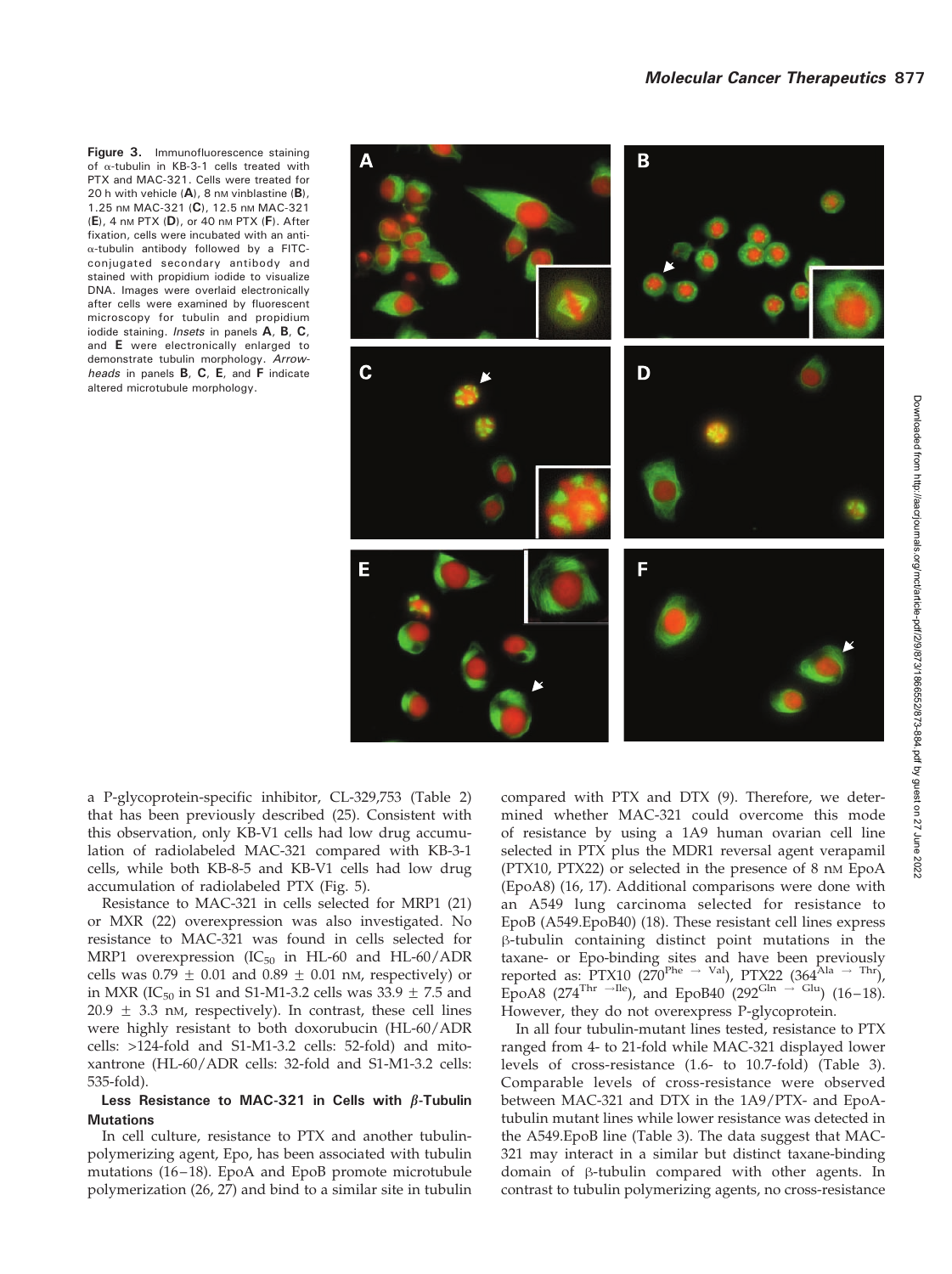Figure 3. Immunofluorescence staining of  $\alpha$ -tubulin in KB-3-1 cells treated with PTX and MAC-321. Cells were treated for 20 h with vehicle  $(A)$ , 8 nm vinblastine  $(B)$ , 1.25 nm MAC-321 (C), 12.5 nm MAC-321  $(E)$ , 4 nm PTX  $(D)$ , or 40 nm PTX  $(F)$ . After fixation, cells were incubated with an anti- $\alpha$ -tubulin antibody followed by a FITCconjugated secondary antibody and stained with propidium iodide to visualize DNA. Images were overlaid electronically after cells were examined by fluorescent microscopy for tubulin and propidium iodide staining. Insets in panels A, B, C, and E were electronically enlarged to demonstrate tubulin morphology. Arrowheads in panels **B**, **C**, **E**, and **F** indicate altered microtubule morphology.



a P-glycoprotein-specific inhibitor, CL-329,753 (Table 2) that has been previously described (25). Consistent with this observation, only KB-V1 cells had low drug accumulation of radiolabeled MAC-321 compared with KB-3-1 cells, while both KB-8-5 and KB-V1 cells had low drug accumulation of radiolabeled PTX (Fig. 5).

Resistance to MAC-321 in cells selected for MRP1 (21) or MXR (22) overexpression was also investigated. No resistance to MAC-321 was found in cells selected for MRP1 overexpression ( $IC_{50}$  in HL-60 and HL-60/ADR cells was  $0.79 \pm 0.01$  and  $0.89 \pm 0.01$  nM, respectively) or in MXR (IC<sub>50</sub> in S1 and S1-M1-3.2 cells was  $33.9 \pm 7.5$  and  $20.9 \pm 3.3$  nM, respectively). In contrast, these cell lines were highly resistant to both doxorubucin (HL-60/ADR cells: >124-fold and S1-M1-3.2 cells: 52-fold) and mitoxantrone (HL-60/ADR cells: 32-fold and S1-M1-3.2 cells: 535-fold).

## Less Resistance to MAC-321 in Cells with  $\beta$ -Tubulin **Mutations**

In cell culture, resistance to PTX and another tubulinpolymerizing agent, Epo, has been associated with tubulin mutations (16–18). EpoA and EpoB promote microtubule polymerization (26, 27) and bind to a similar site in tubulin compared with PTX and DTX (9). Therefore, we determined whether MAC-321 could overcome this mode of resistance by using a 1A9 human ovarian cell line selected in PTX plus the MDR1 reversal agent verapamil (PTX10, PTX22) or selected in the presence of 8 nM EpoA (EpoA8) (16, 17). Additional comparisons were done with an A549 lung carcinoma selected for resistance to EpoB (A549.EpoB40) (18). These resistant cell lines express  $\beta$ -tubulin containing distinct point mutations in the taxane- or Epo-binding sites and have been previously reported as: PTX10 (270<sup>Phe  $\rightarrow$  Val), PTX22 (364<sup>Ala  $\rightarrow$  Thr),</sup></sup> EpoA8 (274<sup>Thr -Ile</sup>), and EpoB40 (292<sup>Gln -> Glu</sup>) (16–18). However, they do not overexpress P-glycoprotein.

In all four tubulin-mutant lines tested, resistance to PTX ranged from 4- to 21-fold while MAC-321 displayed lower levels of cross-resistance (1.6- to 10.7-fold) (Table 3). Comparable levels of cross-resistance were observed between MAC-321 and DTX in the 1A9/PTX- and EpoAtubulin mutant lines while lower resistance was detected in the A549.EpoB line (Table 3). The data suggest that MAC-321 may interact in a similar but distinct taxane-binding domain of  $\beta$ -tubulin compared with other agents. In contrast to tubulin polymerizing agents, no cross-resistance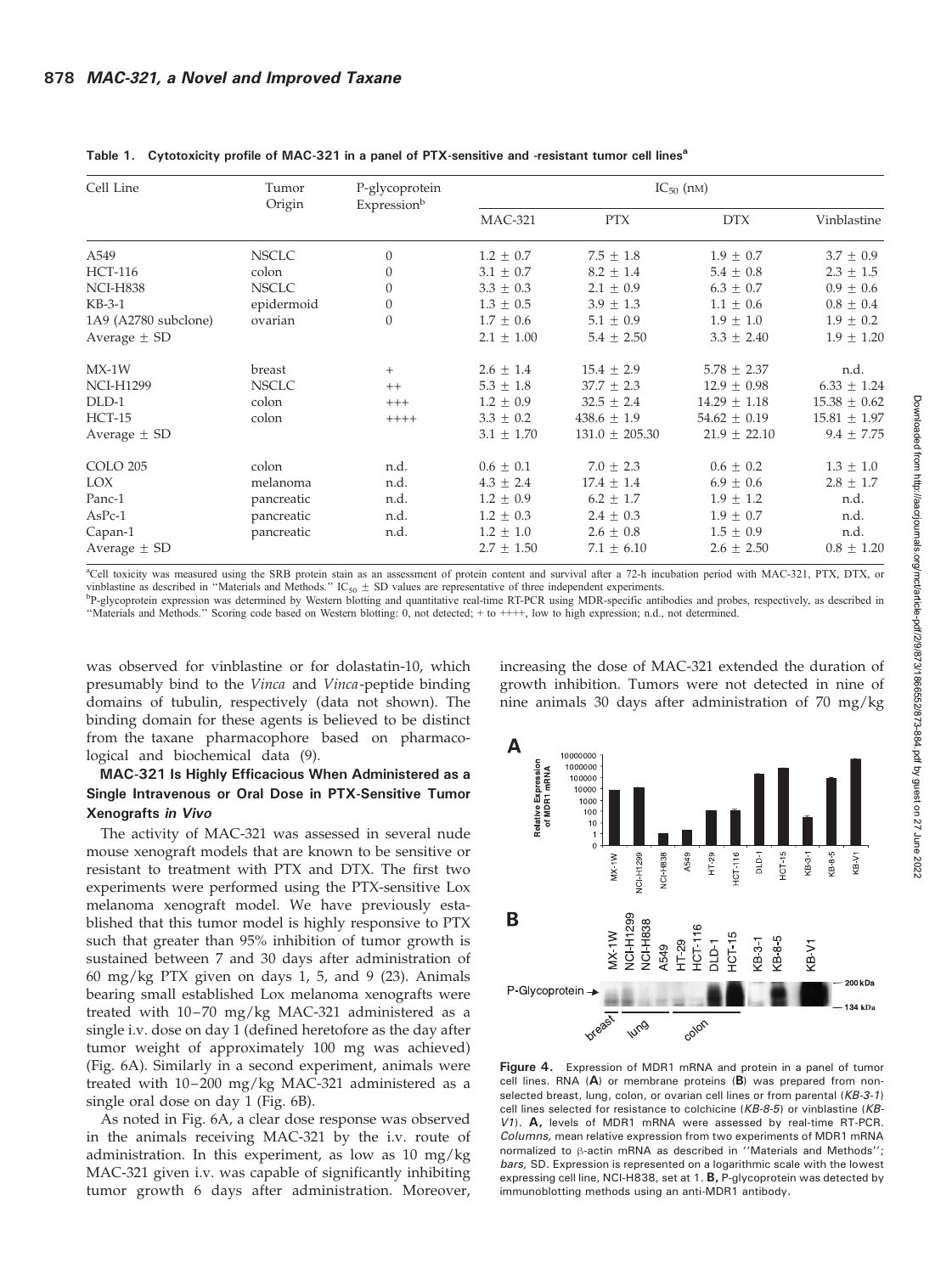| Cell Line            | Tumor<br>Origin | P-glycoprotein<br>Expressionb | $IC_{50}$ (nM)  |                    |                  |                  |  |
|----------------------|-----------------|-------------------------------|-----------------|--------------------|------------------|------------------|--|
|                      |                 |                               | <b>MAC-321</b>  | <b>PTX</b>         | <b>DTX</b>       | Vinblastine      |  |
| A549                 | <b>NSCLC</b>    | $\boldsymbol{0}$              | $1.2 \pm 0.7$   | $7.5 \pm 1.8$      | $1.9 \pm 0.7$    | $3.7 \pm 0.9$    |  |
| <b>HCT-116</b>       | colon           | $\boldsymbol{0}$              | $3.1 \pm 0.7$   | $8.2 \pm 1.4$      | $5.4 \pm 0.8$    | $2.3 \pm 1.5$    |  |
| <b>NCI-H838</b>      | <b>NSCLC</b>    | $\boldsymbol{0}$              | $3.3 \pm 0.3$   | $2.1 \pm 0.9$      | $6.3 \pm 0.7$    | $0.9 \pm 0.6$    |  |
| $KB-3-1$             | epidermoid      | $\boldsymbol{0}$              | $1.3 \pm 0.5$   | $3.9 \pm 1.3$      | $1.1 \pm 0.6$    | $0.8 \pm 0.4$    |  |
| 1A9 (A2780 subclone) | ovarian         | $\boldsymbol{0}$              | $1.7 \pm 0.6$   | $5.1 \pm 0.9$      | $1.9 \pm 1.0$    | $1.9 \pm 0.2$    |  |
| Average $\pm$ SD     |                 |                               | $2.1 \pm 1.00$  | $5.4 \pm 2.50$     | $3.3 \pm 2.40$   | $1.9 \pm 1.20$   |  |
| $MX-1W$              | breast          | $^{+}$                        | $2.6 \pm 1.4$   | $15.4 \pm 2.9$     | $5.78 \pm 2.37$  | n.d.             |  |
| <b>NCI-H1299</b>     | <b>NSCLC</b>    | $++$                          | $5.3\,\pm\,1.8$ | $37.7 \pm 2.3$     | $12.9 \pm 0.98$  | $6.33 \pm 1.24$  |  |
| DLD-1                | colon           | $+++$                         | $1.2 \pm 0.9$   | $32.5 \pm 2.4$     | $14.29 \pm 1.18$ | $15.38 \pm 0.62$ |  |
| $HCT-15$             | colon           | $+++++$                       | $3.3 \pm 0.2$   | $438.6 \pm 1.9$    | $54.62 \pm 0.19$ | $15.81 \pm 1.97$ |  |
| Average $\pm$ SD     |                 |                               | $3.1 \pm 1.70$  | $131.0 \pm 205.30$ | $21.9 \pm 22.10$ | $9.4 \pm 7.75$   |  |
| <b>COLO 205</b>      | colon           | n.d.                          | $0.6 \pm 0.1$   | $7.0 \pm 2.3$      | $0.6 \pm 0.2$    | $1.3 \pm 1.0$    |  |
| LOX                  | melanoma        | n.d.                          | $4.3 \pm 2.4$   | $17.4 \pm 1.4$     | $6.9 \pm 0.6$    | $2.8 \pm 1.7$    |  |
| Panc-1               | pancreatic      | n.d.                          | $1.2 \pm 0.9$   | $6.2 \pm 1.7$      | $1.9 \pm 1.2$    | n.d.             |  |
| $AsPc-1$             | pancreatic      | n.d.                          | $1.2 \pm 0.3$   | $2.4 \pm 0.3$      | $1.9 \pm 0.7$    | n.d.             |  |
| Capan-1              | pancreatic      | n.d.                          | $1.2 \pm 1.0$   | $2.6 \pm 0.8$      | $1.5 \pm 0.9$    | n.d.             |  |
| Average $\pm$ SD     |                 |                               | $2.7 \pm 1.50$  | $7.1 \pm 6.10$     | $2.6 \pm 2.50$   | $0.8 \pm 1.20$   |  |

#### Table 1. Cytotoxicity profile of MAC-321 in a panel of PTX-sensitive and -resistant tumor cell lines<sup>a</sup>

a Cell toxicity was measured using the SRB protein stain as an assessment of protein content and survival after a 72-h incubation period with MAC-321, PTX, DTX, or vinblastine as described in "Materials and Methods."  $IC_{50} \pm SD$  values are representative of three independent experiments.

<sup>b</sup>P-glycoprotein expression was determined by Western blotting and quantitative real-time RT-PCR using MDR-specific antibodies and probes, respectively, as described in ''Materials and Methods.'' Scoring code based on Western blotting: 0, not detected; + to ++++, low to high expression; n.d., not determined.

was observed for vinblastine or for dolastatin-10, which presumably bind to the Vinca and Vinca-peptide binding domains of tubulin, respectively (data not shown). The binding domain for these agents is believed to be distinct from the taxane pharmacophore based on pharmacological and biochemical data (9).

## MAC-321 Is Highly Efficacious When Administered as a Single Intravenous or Oral Dose in PTX-Sensitive Tumor Xenografts in Vivo

The activity of MAC-321 was assessed in several nude mouse xenograft models that are known to be sensitive or resistant to treatment with PTX and DTX. The first two experiments were performed using the PTX-sensitive Lox melanoma xenograft model. We have previously established that this tumor model is highly responsive to PTX such that greater than 95% inhibition of tumor growth is sustained between 7 and 30 days after administration of 60 mg/kg PTX given on days 1, 5, and 9 (23). Animals bearing small established Lox melanoma xenografts were treated with 10–70 mg/kg MAC-321 administered as a single i.v. dose on day 1 (defined heretofore as the day after tumor weight of approximately 100 mg was achieved) (Fig. 6A). Similarly in a second experiment, animals were treated with 10–200 mg/kg MAC-321 administered as a single oral dose on day 1 (Fig. 6B).

As noted in Fig. 6A, a clear dose response was observed in the animals receiving MAC-321 by the i.v. route of administration. In this experiment, as low as 10 mg/kg MAC-321 given i.v. was capable of significantly inhibiting tumor growth 6 days after administration. Moreover, increasing the dose of MAC-321 extended the duration of growth inhibition. Tumors were not detected in nine of nine animals 30 days after administration of 70 mg/kg



Figure 4. Expression of MDR1 mRNA and protein in a panel of tumor cell lines. RNA  $(A)$  or membrane proteins  $(B)$  was prepared from nonselected breast, lung, colon, or ovarian cell lines or from parental (KB-3-1) cell lines selected for resistance to colchicine (KB-8-5) or vinblastine (KB-V1). A, levels of MDR1 mRNA were assessed by real-time RT-PCR. Columns, mean relative expression from two experiments of MDR1 mRNA normalized to  $\beta$ -actin mRNA as described in "Materials and Methods"; bars, SD. Expression is represented on a logarithmic scale with the lowest expressing cell line, NCI-H838, set at 1, **B**, P-glycoprotein was detected by immunoblotting methods using an anti-MDR1 antibody.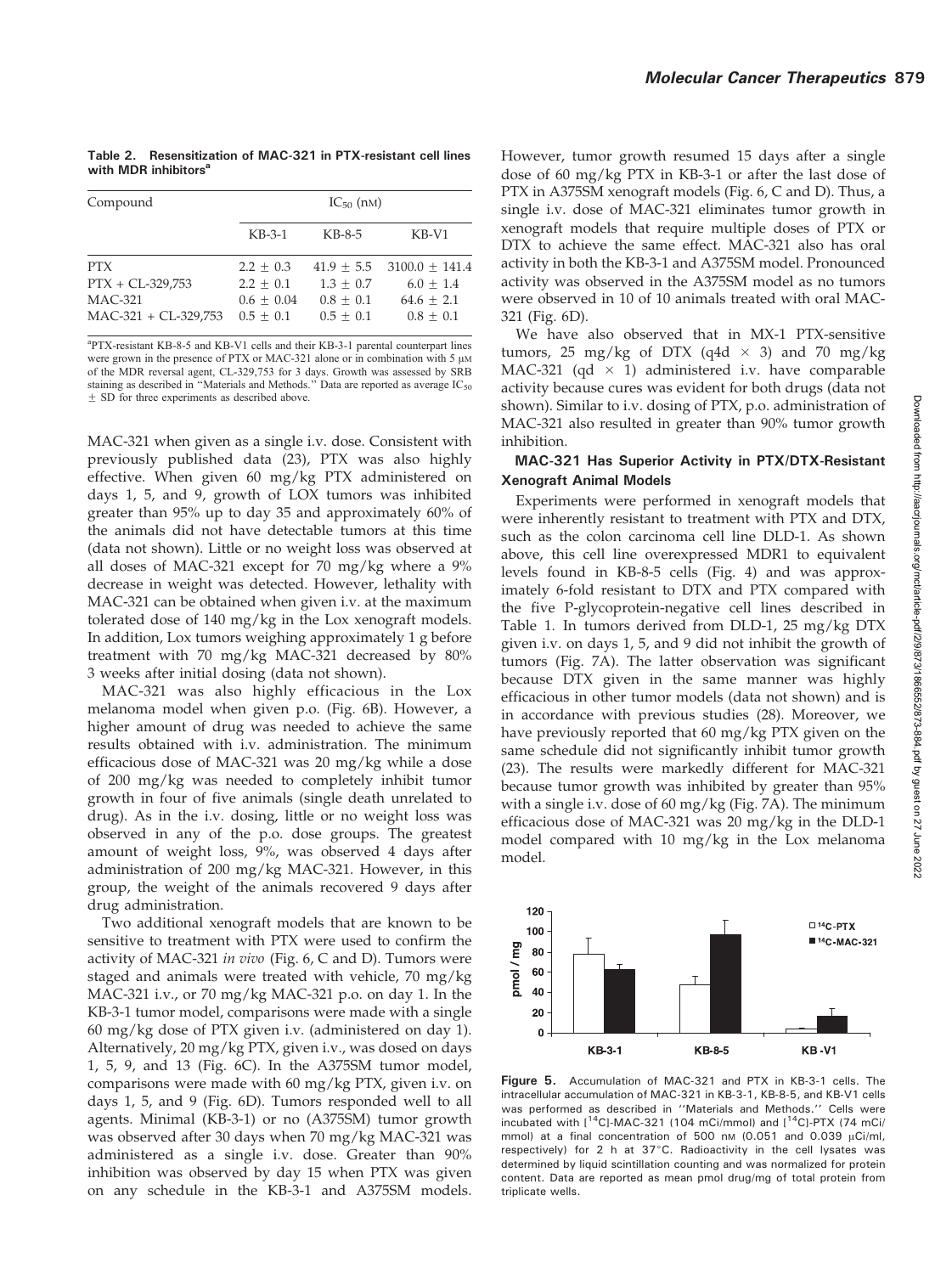Table 2. Resensitization of MAC-321 in PTX-resistant cell lines with  $MDR$  inhibitors $^{\epsilon}$ 

| Compound                                                              | $IC_{50}$ (nM)                                              |                                                           |                                                                |  |  |
|-----------------------------------------------------------------------|-------------------------------------------------------------|-----------------------------------------------------------|----------------------------------------------------------------|--|--|
|                                                                       | $KB-3-1$                                                    | KB-8-5                                                    | $KB-V1$                                                        |  |  |
| <b>PTX</b><br>$PTX + CL-329,753$<br>$MAC-321$<br>MAC-321 + CL-329,753 | $2.2 + 0.3$<br>$2.2 + 0.1$<br>$0.6 + 0.04$<br>$0.5 \pm 0.1$ | $41.9 + 5.5$<br>$1.3 + 0.7$<br>$0.8 + 0.1$<br>$0.5 + 0.1$ | $3100.0 + 141.4$<br>$6.0 + 1.4$<br>$64.6 + 2.1$<br>$0.8 + 0.1$ |  |  |

a PTX-resistant KB-8-5 and KB-V1 cells and their KB-3-1 parental counterpart lines were grown in the presence of PTX or MAC-321 alone or in combination with 5  $\mu$ M of the MDR reversal agent, CL-329,753 for 3 days. Growth was assessed by SRB staining as described in "Materials and Methods." Data are reported as average  $IC_{50}$  $\pm$  SD for three experiments as described above.

MAC-321 when given as a single i.v. dose. Consistent with previously published data (23), PTX was also highly effective. When given 60 mg/kg PTX administered on days 1, 5, and 9, growth of LOX tumors was inhibited greater than 95% up to day 35 and approximately 60% of the animals did not have detectable tumors at this time (data not shown). Little or no weight loss was observed at all doses of MAC-321 except for 70 mg/kg where a 9% decrease in weight was detected. However, lethality with MAC-321 can be obtained when given i.v. at the maximum tolerated dose of 140 mg/kg in the Lox xenograft models. In addition, Lox tumors weighing approximately 1 g before treatment with 70 mg/kg MAC-321 decreased by 80% 3 weeks after initial dosing (data not shown).

MAC-321 was also highly efficacious in the Lox melanoma model when given p.o. (Fig. 6B). However, a higher amount of drug was needed to achieve the same results obtained with i.v. administration. The minimum efficacious dose of MAC-321 was 20 mg/kg while a dose of 200 mg/kg was needed to completely inhibit tumor growth in four of five animals (single death unrelated to drug). As in the i.v. dosing, little or no weight loss was observed in any of the p.o. dose groups. The greatest amount of weight loss, 9%, was observed 4 days after administration of 200 mg/kg MAC-321. However, in this group, the weight of the animals recovered 9 days after drug administration.

Two additional xenograft models that are known to be sensitive to treatment with PTX were used to confirm the activity of MAC-321 in vivo (Fig. 6, C and D). Tumors were staged and animals were treated with vehicle, 70 mg/kg MAC-321 i.v., or 70 mg/kg MAC-321 p.o. on day 1. In the KB-3-1 tumor model, comparisons were made with a single 60 mg/kg dose of PTX given i.v. (administered on day 1). Alternatively, 20 mg/kg PTX, given i.v., was dosed on days 1, 5, 9, and 13 (Fig. 6C). In the A375SM tumor model, comparisons were made with 60 mg/kg PTX, given i.v. on days 1, 5, and 9 (Fig. 6D). Tumors responded well to all agents. Minimal (KB-3-1) or no (A375SM) tumor growth was observed after 30 days when 70 mg/kg MAC-321 was administered as a single i.v. dose. Greater than 90% inhibition was observed by day 15 when PTX was given on any schedule in the KB-3-1 and A375SM models. However, tumor growth resumed 15 days after a single dose of 60 mg/kg PTX in KB-3-1 or after the last dose of PTX in A375SM xenograft models (Fig. 6, C and D). Thus, a single i.v. dose of MAC-321 eliminates tumor growth in xenograft models that require multiple doses of PTX or DTX to achieve the same effect. MAC-321 also has oral activity in both the KB-3-1 and A375SM model. Pronounced activity was observed in the A375SM model as no tumors were observed in 10 of 10 animals treated with oral MAC-321 (Fig. 6D).

We have also observed that in MX-1 PTX-sensitive tumors, 25 mg/kg of DTX (q4d  $\times$  3) and 70 mg/kg MAC-321 (qd  $\times$  1) administered i.v. have comparable activity because cures was evident for both drugs (data not shown). Similar to i.v. dosing of PTX, p.o. administration of MAC-321 also resulted in greater than 90% tumor growth inhibition.

#### MAC-321 Has Superior Activity in PTX/DTX-Resistant Xenograft Animal Models

Experiments were performed in xenograft models that were inherently resistant to treatment with PTX and DTX, such as the colon carcinoma cell line DLD-1. As shown above, this cell line overexpressed MDR1 to equivalent levels found in KB-8-5 cells (Fig. 4) and was approximately 6-fold resistant to DTX and PTX compared with the five P-glycoprotein-negative cell lines described in Table 1. In tumors derived from DLD-1, 25 mg/kg DTX given i.v. on days 1, 5, and 9 did not inhibit the growth of tumors (Fig. 7A). The latter observation was significant because DTX given in the same manner was highly efficacious in other tumor models (data not shown) and is in accordance with previous studies (28). Moreover, we have previously reported that 60 mg/kg PTX given on the same schedule did not significantly inhibit tumor growth (23). The results were markedly different for MAC-321 because tumor growth was inhibited by greater than 95% with a single i.v. dose of 60 mg/kg (Fig. 7A). The minimum efficacious dose of MAC-321 was 20 mg/kg in the DLD-1 model compared with 10 mg/kg in the Lox melanoma model.



Figure 5. Accumulation of MAC-321 and PTX in KB-3-1 cells. The intracellular accumulation of MAC-321 in KB-3-1, KB-8-5, and KB-V1 cells was performed as described in ''Materials and Methods.'' Cells were incubated with  $[$ <sup>14</sup>C]-MAC-321 (104 mCi/mmol) and  $[$ <sup>14</sup>C]-PTX (74 mCi/ mmol) at a final concentration of 500 nm (0.051 and 0.039  $\mu$ Ci/ml, respectively) for 2 h at 37°C. Radioactivity in the cell lysates was determined by liquid scintillation counting and was normalized for protein content. Data are reported as mean pmol drug/mg of total protein from triplicate wells.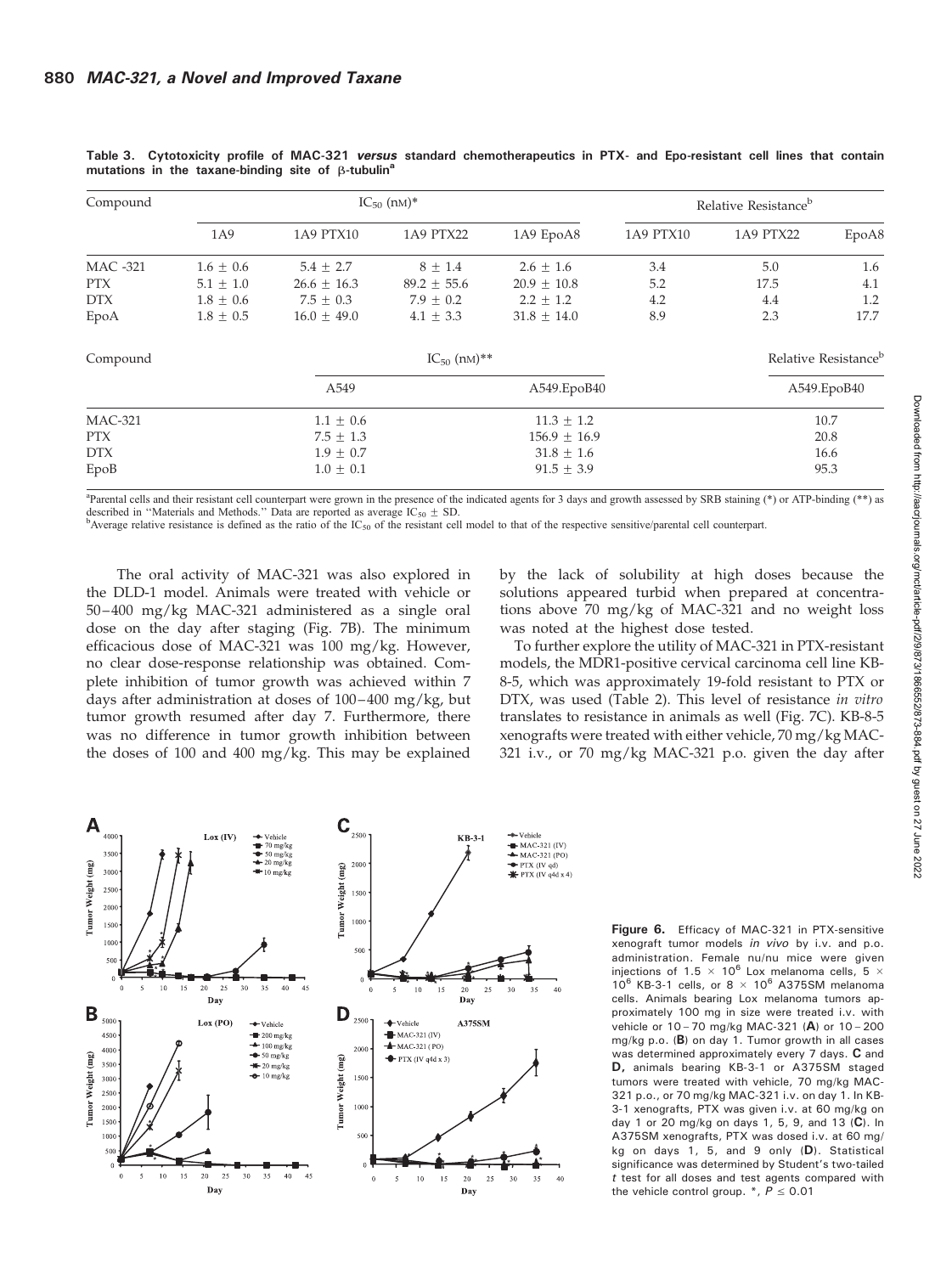| Compound        | $IC_{50}$ (nm)* |                 |                  |                 | Relative Resistance <sup>b</sup> |             |       |
|-----------------|-----------------|-----------------|------------------|-----------------|----------------------------------|-------------|-------|
|                 | 1A9             | 1A9 PTX10       | 1A9 PTX22        | 1A9 EpoA8       | 1A9 PTX10                        | 1A9 PTX22   | EpoA8 |
| <b>MAC -321</b> | $1.6 \pm 0.6$   | $5.4 \pm 2.7$   | $8 \pm 1.4$      | $2.6 \pm 1.6$   | 3.4                              | 5.0         | 1.6   |
| <b>PTX</b>      | $5.1 \pm 1.0$   | $26.6 \pm 16.3$ | $89.2 \pm 55.6$  | $20.9 + 10.8$   | 5.2                              | 17.5        | 4.1   |
| <b>DTX</b>      | $1.8 \pm 0.6$   | $7.5 \pm 0.3$   | $7.9 \pm 0.2$    | $2.2 + 1.2$     | 4.2                              | 4.4         | 1.2   |
| EpoA            | $1.8 \pm 0.5$   | $16.0 \pm 49.0$ | $4.1 \pm 3.3$    | $31.8 \pm 14.0$ | 8.9                              | 2.3         | 17.7  |
| Compound        |                 |                 | $IC_{50}$ (nM)** |                 | Relative Resistance <sup>b</sup> |             |       |
|                 |                 | A549            |                  | A549.EpoB40     |                                  | A549.EpoB40 |       |
| <b>MAC-321</b>  | $1.1 \pm 0.6$   |                 |                  | $11.3 \pm 1.2$  |                                  | 10.7        |       |
| PTX             | $7.5 \pm 1.3$   |                 | $156.9 \pm 16.9$ |                 |                                  | 20.8        |       |
| <b>DTX</b>      | $1.9 \pm 0.7$   |                 |                  | $31.8 \pm 1.6$  |                                  | 16.6        |       |
| EpoB            | $1.0 \pm 0.1$   |                 |                  | $91.5 \pm 3.9$  |                                  | 95.3        |       |

Table 3. Cytotoxicity profile of MAC-321 versus standard chemotherapeutics in PTX- and Epo-resistant cell lines that contain mutations in the taxane-binding site of  $\beta$ -tubulin<sup>a</sup>

<sup>a</sup>Parental cells and their resistant cell counterpart were grown in the presence of the indicated agents for 3 days and growth assessed by SRB staining (\*) or ATP-binding (\*\*) as described in "Materials and Methods." Data are reported as average  $IC_{50} \pm SD$ .<br><sup>b</sup>Average relative resistance is defined as the ratio of the  $IC_{50}$  of the resistant cell model to that of the respective sensitive/parental

The oral activity of MAC-321 was also explored in the DLD-1 model. Animals were treated with vehicle or 50–400 mg/kg MAC-321 administered as a single oral dose on the day after staging (Fig. 7B). The minimum efficacious dose of MAC-321 was 100 mg/kg. However, no clear dose-response relationship was obtained. Complete inhibition of tumor growth was achieved within 7 days after administration at doses of 100–400 mg/kg, but tumor growth resumed after day 7. Furthermore, there was no difference in tumor growth inhibition between the doses of 100 and 400 mg/kg. This may be explained by the lack of solubility at high doses because the solutions appeared turbid when prepared at concentrations above 70 mg/kg of MAC-321 and no weight loss was noted at the highest dose tested.

To further explore the utility of MAC-321 in PTX-resistant models, the MDR1-positive cervical carcinoma cell line KB-8-5, which was approximately 19-fold resistant to PTX or DTX, was used (Table 2). This level of resistance in vitro translates to resistance in animals as well (Fig. 7C). KB-8-5 xenografts were treated with either vehicle, 70 mg/kg MAC-321 i.v., or 70 mg/kg MAC-321 p.o. given the day after



Figure 6. Efficacy of MAC-321 in PTX-sensitive xenograft tumor models in vivo by i.v. and p.o. administration. Female nu/nu mice were given injections of 1.5  $\times$  10<sup>6</sup> Lox melanoma cells, 5  $\times$  $10^6$  KB-3-1 cells, or 8  $\times$  10<sup>6</sup> A375SM melanoma cells. Animals bearing Lox melanoma tumors approximately 100 mg in size were treated i.v. with vehicle or 10 - 70 mg/kg MAC-321 (A) or 10 - 200 mg/kg p.o. (B) on day 1. Tumor growth in all cases was determined approximately every 7 days. C and D, animals bearing KB-3-1 or A375SM staged tumors were treated with vehicle, 70 mg/kg MAC-321 p.o., or 70 mg/kg MAC-321 i.v. on day 1. In KB-3-1 xenografts, PTX was given i.v. at 60 mg/kg on day 1 or 20 mg/kg on days 1, 5, 9, and 13 (C). In A375SM xenografts, PTX was dosed i.v. at 60 mg/ kg on days 1, 5, and 9 only (D). Statistical significance was determined by Student's two-tailed t test for all doses and test agents compared with the vehicle control group.  $*$ ,  $P \le 0.01$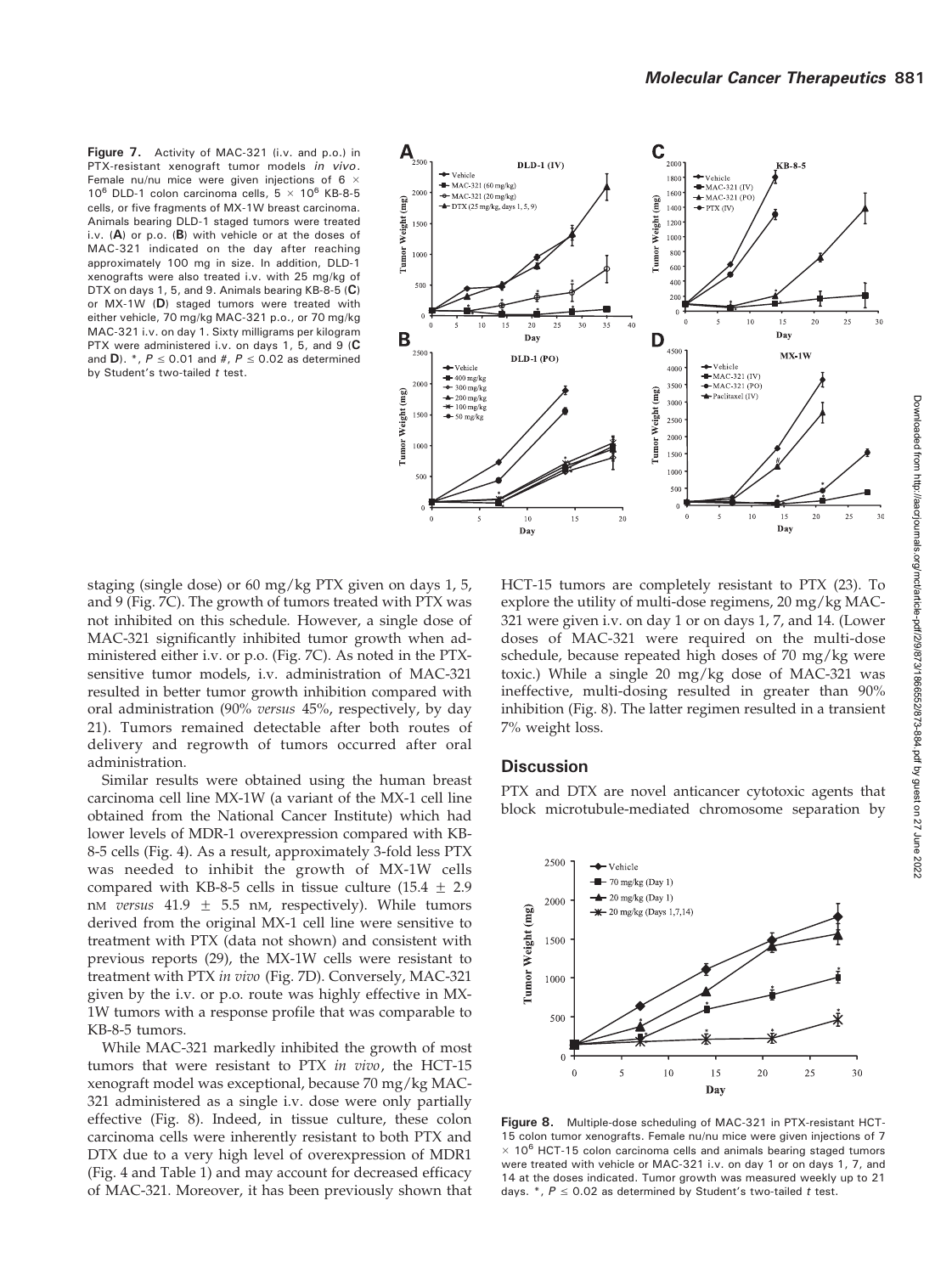Figure 7. Activity of MAC-321 (i.v. and p.o.) in PTX-resistant xenograft tumor models in vivo. Female nu/nu mice were given injections of 6  $\times$  $10^6$  DLD-1 colon carcinoma cells,  $5 \times 10^6$  KB-8-5 cells, or five fragments of MX-1W breast carcinoma. Animals bearing DLD-1 staged tumors were treated i.v. (A) or p.o. (B) with vehicle or at the doses of MAC-321 indicated on the day after reaching approximately 100 mg in size. In addition, DLD-1 xenografts were also treated i.v. with 25 mg/kg of DTX on days 1, 5, and 9. Animals bearing KB-8-5 (C) or MX-1W (D) staged tumors were treated with either vehicle, 70 mg/kg MAC-321 p.o., or 70 mg/kg MAC-321 i.v. on day 1. Sixty milligrams per kilogram PTX were administered i.v. on days 1, 5, and 9 (C and D). \*,  $P \le 0.01$  and #,  $P \le 0.02$  as determined by Student's two-tailed  $t$  test.



staging (single dose) or 60 mg/kg PTX given on days 1, 5, and 9 (Fig. 7C). The growth of tumors treated with PTX was not inhibited on this schedule. However, a single dose of MAC-321 significantly inhibited tumor growth when administered either i.v. or p.o. (Fig. 7C). As noted in the PTXsensitive tumor models, i.v. administration of MAC-321 resulted in better tumor growth inhibition compared with oral administration (90% versus 45%, respectively, by day 21). Tumors remained detectable after both routes of delivery and regrowth of tumors occurred after oral administration.

Similar results were obtained using the human breast carcinoma cell line MX-1W (a variant of the MX-1 cell line obtained from the National Cancer Institute) which had lower levels of MDR-1 overexpression compared with KB-8-5 cells (Fig. 4). As a result, approximately 3-fold less PTX was needed to inhibit the growth of MX-1W cells compared with KB-8-5 cells in tissue culture (15.4  $\pm$  2.9 nM versus  $41.9 \pm 5.5$  nM, respectively). While tumors derived from the original MX-1 cell line were sensitive to treatment with PTX (data not shown) and consistent with previous reports (29), the MX-1W cells were resistant to treatment with PTX in vivo (Fig. 7D). Conversely, MAC-321 given by the i.v. or p.o. route was highly effective in MX-1W tumors with a response profile that was comparable to KB-8-5 tumors.

While MAC-321 markedly inhibited the growth of most tumors that were resistant to PTX in vivo, the HCT-15 xenograft model was exceptional, because 70 mg/kg MAC-321 administered as a single i.v. dose were only partially effective (Fig. 8). Indeed, in tissue culture, these colon carcinoma cells were inherently resistant to both PTX and DTX due to a very high level of overexpression of MDR1 (Fig. 4 and Table 1) and may account for decreased efficacy of MAC-321. Moreover, it has been previously shown that HCT-15 tumors are completely resistant to PTX (23). To explore the utility of multi-dose regimens, 20 mg/kg MAC-321 were given i.v. on day 1 or on days 1, 7, and 14. (Lower doses of MAC-321 were required on the multi-dose schedule, because repeated high doses of 70 mg/kg were toxic.) While a single 20 mg/kg dose of MAC-321 was ineffective, multi-dosing resulted in greater than 90% inhibition (Fig. 8). The latter regimen resulted in a transient 7% weight loss.

## **Discussion**

PTX and DTX are novel anticancer cytotoxic agents that block microtubule-mediated chromosome separation by



Figure 8. Multiple-dose scheduling of MAC-321 in PTX-resistant HCT-15 colon tumor xenografts. Female nu/nu mice were given injections of 7  $\times$  10<sup>6</sup> HCT-15 colon carcinoma cells and animals bearing staged tumors were treated with vehicle or MAC-321 i.v. on day 1 or on days 1, 7, and 14 at the doses indicated. Tumor growth was measured weekly up to 21 days.  $*, P \le 0.02$  as determined by Student's two-tailed t test.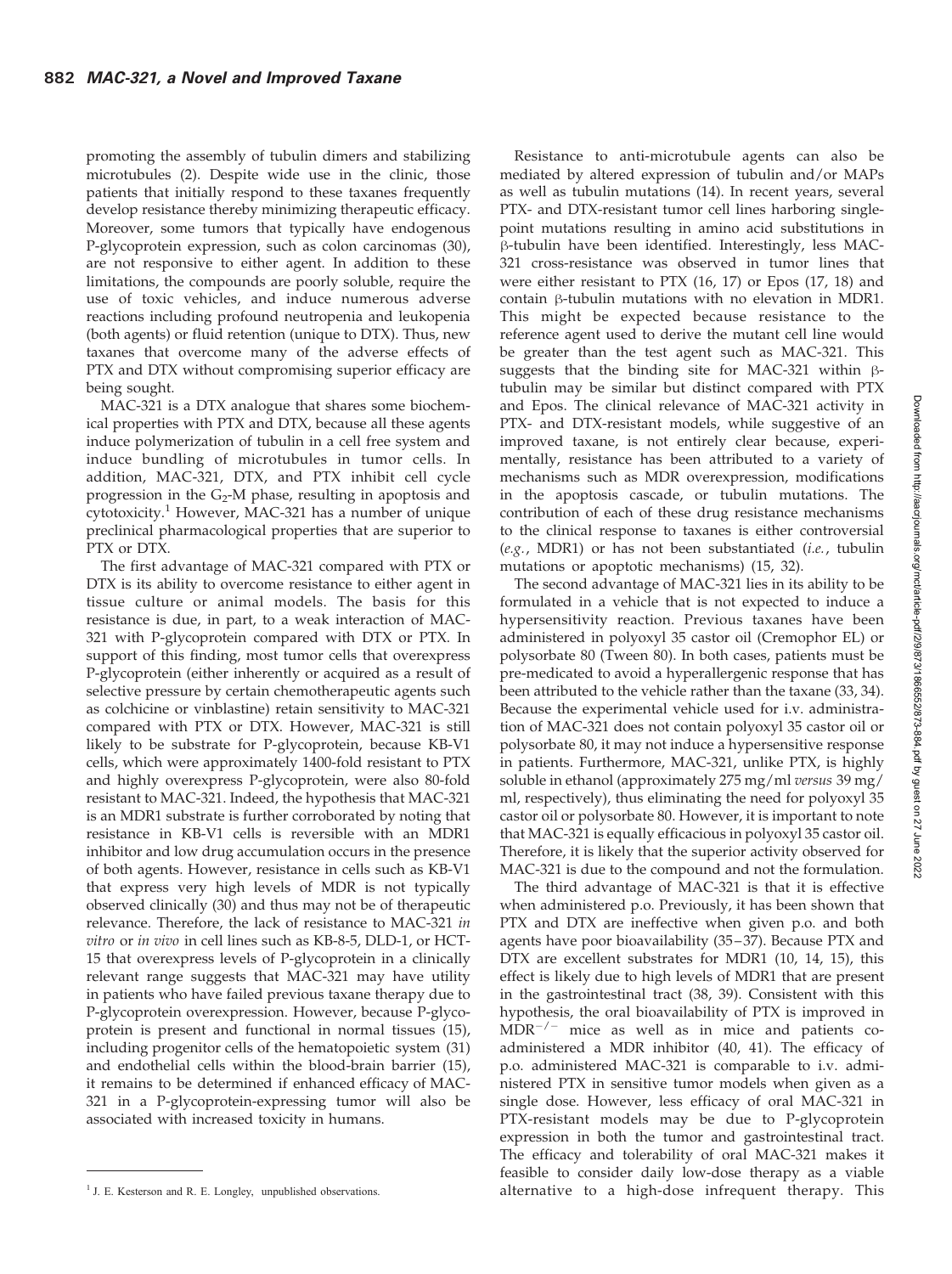promoting the assembly of tubulin dimers and stabilizing microtubules (2). Despite wide use in the clinic, those patients that initially respond to these taxanes frequently develop resistance thereby minimizing therapeutic efficacy. Moreover, some tumors that typically have endogenous P-glycoprotein expression, such as colon carcinomas (30), are not responsive to either agent. In addition to these limitations, the compounds are poorly soluble, require the use of toxic vehicles, and induce numerous adverse reactions including profound neutropenia and leukopenia (both agents) or fluid retention (unique to DTX). Thus, new taxanes that overcome many of the adverse effects of PTX and DTX without compromising superior efficacy are being sought.

MAC-321 is a DTX analogue that shares some biochemical properties with PTX and DTX, because all these agents induce polymerization of tubulin in a cell free system and induce bundling of microtubules in tumor cells. In addition, MAC-321, DTX, and PTX inhibit cell cycle progression in the  $G_2$ -M phase, resulting in apoptosis and cytotoxicity.<sup>1</sup> However, MAC-321 has a number of unique preclinical pharmacological properties that are superior to PTX or DTX.

The first advantage of MAC-321 compared with PTX or DTX is its ability to overcome resistance to either agent in tissue culture or animal models. The basis for this resistance is due, in part, to a weak interaction of MAC-321 with P-glycoprotein compared with DTX or PTX. In support of this finding, most tumor cells that overexpress P-glycoprotein (either inherently or acquired as a result of selective pressure by certain chemotherapeutic agents such as colchicine or vinblastine) retain sensitivity to MAC-321 compared with PTX or DTX. However, MAC-321 is still likely to be substrate for P-glycoprotein, because KB-V1 cells, which were approximately 1400-fold resistant to PTX and highly overexpress P-glycoprotein, were also 80-fold resistant to MAC-321. Indeed, the hypothesis that MAC-321 is an MDR1 substrate is further corroborated by noting that resistance in KB-V1 cells is reversible with an MDR1 inhibitor and low drug accumulation occurs in the presence of both agents. However, resistance in cells such as KB-V1 that express very high levels of MDR is not typically observed clinically (30) and thus may not be of therapeutic relevance. Therefore, the lack of resistance to MAC-321 in vitro or in vivo in cell lines such as KB-8-5, DLD-1, or HCT-15 that overexpress levels of P-glycoprotein in a clinically relevant range suggests that MAC-321 may have utility in patients who have failed previous taxane therapy due to P-glycoprotein overexpression. However, because P-glycoprotein is present and functional in normal tissues (15), including progenitor cells of the hematopoietic system (31) and endothelial cells within the blood-brain barrier (15), it remains to be determined if enhanced efficacy of MAC-321 in a P-glycoprotein-expressing tumor will also be associated with increased toxicity in humans.

Resistance to anti-microtubule agents can also be mediated by altered expression of tubulin and/or MAPs as well as tubulin mutations (14). In recent years, several PTX- and DTX-resistant tumor cell lines harboring singlepoint mutations resulting in amino acid substitutions in  $\beta$ -tubulin have been identified. Interestingly, less MAC-321 cross-resistance was observed in tumor lines that were either resistant to PTX (16, 17) or Epos (17, 18) and contain  $\beta$ -tubulin mutations with no elevation in MDR1. This might be expected because resistance to the reference agent used to derive the mutant cell line would be greater than the test agent such as MAC-321. This suggests that the binding site for MAC-321 within  $\beta$ tubulin may be similar but distinct compared with PTX and Epos. The clinical relevance of MAC-321 activity in PTX- and DTX-resistant models, while suggestive of an improved taxane, is not entirely clear because, experimentally, resistance has been attributed to a variety of mechanisms such as MDR overexpression, modifications in the apoptosis cascade, or tubulin mutations. The contribution of each of these drug resistance mechanisms to the clinical response to taxanes is either controversial (e.g., MDR1) or has not been substantiated (i.e., tubulin mutations or apoptotic mechanisms) (15, 32).

The second advantage of MAC-321 lies in its ability to be formulated in a vehicle that is not expected to induce a hypersensitivity reaction. Previous taxanes have been administered in polyoxyl 35 castor oil (Cremophor EL) or polysorbate 80 (Tween 80). In both cases, patients must be pre-medicated to avoid a hyperallergenic response that has been attributed to the vehicle rather than the taxane (33, 34). Because the experimental vehicle used for i.v. administration of MAC-321 does not contain polyoxyl 35 castor oil or polysorbate 80, it may not induce a hypersensitive response in patients. Furthermore, MAC-321, unlike PTX, is highly soluble in ethanol (approximately 275 mg/ml versus 39 mg/ ml, respectively), thus eliminating the need for polyoxyl 35 castor oil or polysorbate 80. However, it is important to note that MAC-321 is equally efficacious in polyoxyl 35 castor oil. Therefore, it is likely that the superior activity observed for MAC-321 is due to the compound and not the formulation.

The third advantage of MAC-321 is that it is effective when administered p.o. Previously, it has been shown that PTX and DTX are ineffective when given p.o. and both agents have poor bioavailability (35–37). Because PTX and DTX are excellent substrates for MDR1 (10, 14, 15), this effect is likely due to high levels of MDR1 that are present in the gastrointestinal tract (38, 39). Consistent with this hypothesis, the oral bioavailability of PTX is improved in  $\widehat{MDR}^{-/-}$  mice as well as in mice and patients coadministered a MDR inhibitor (40, 41). The efficacy of p.o. administered MAC-321 is comparable to i.v. administered PTX in sensitive tumor models when given as a single dose. However, less efficacy of oral MAC-321 in PTX-resistant models may be due to P-glycoprotein expression in both the tumor and gastrointestinal tract. The efficacy and tolerability of oral MAC-321 makes it feasible to consider daily low-dose therapy as a viable <sup>1</sup> J. E. Kesterson and R. E. Longley, unpublished observations. **alternative to a high-dose infrequent therapy.** This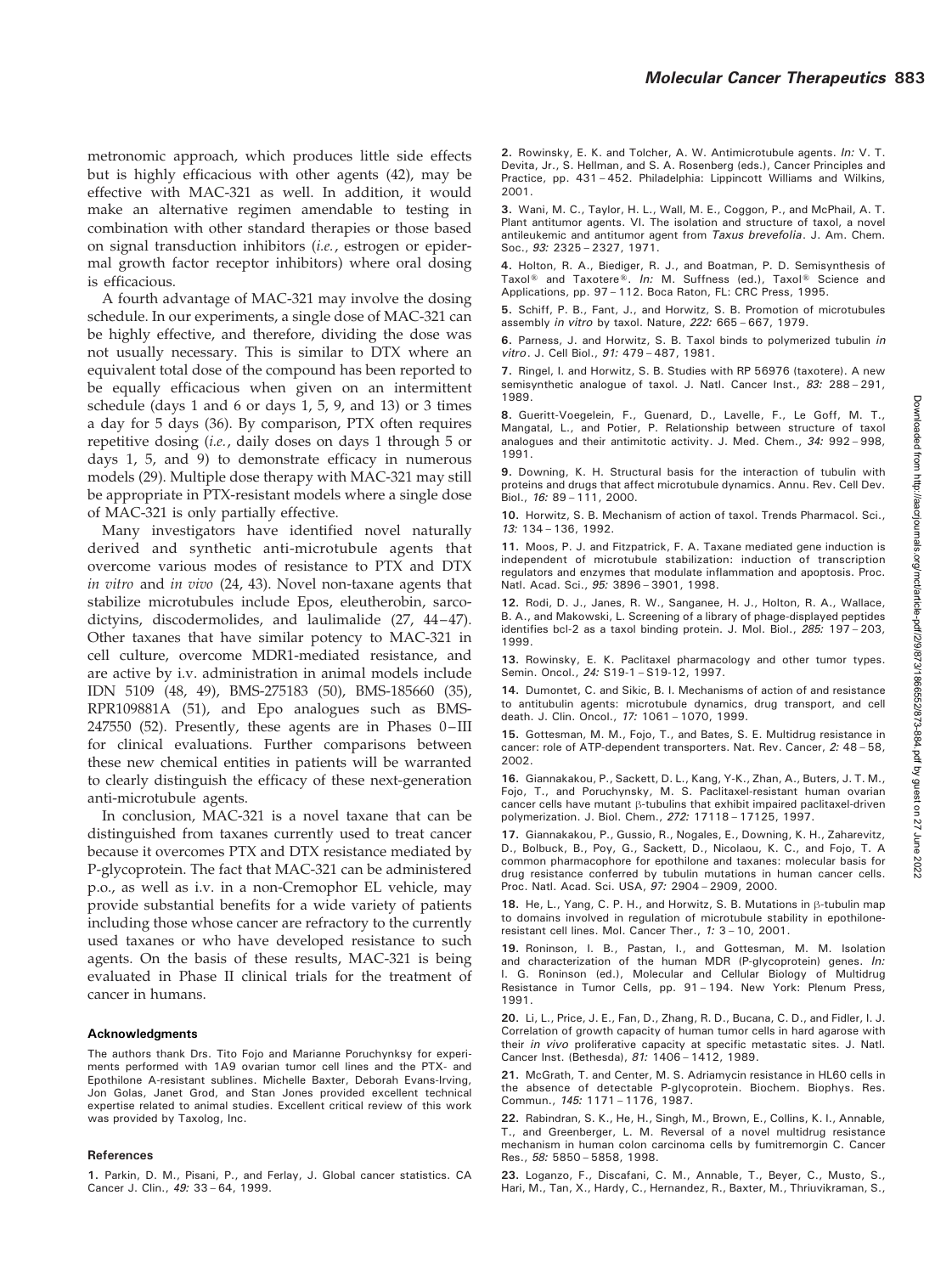metronomic approach, which produces little side effects but is highly efficacious with other agents (42), may be effective with MAC-321 as well. In addition, it would make an alternative regimen amendable to testing in combination with other standard therapies or those based on signal transduction inhibitors (i.e., estrogen or epidermal growth factor receptor inhibitors) where oral dosing is efficacious.

A fourth advantage of MAC-321 may involve the dosing schedule. In our experiments, a single dose of MAC-321 can be highly effective, and therefore, dividing the dose was not usually necessary. This is similar to DTX where an equivalent total dose of the compound has been reported to be equally efficacious when given on an intermittent schedule (days 1 and 6 or days 1, 5, 9, and 13) or 3 times a day for 5 days (36). By comparison, PTX often requires repetitive dosing (i.e., daily doses on days 1 through 5 or days 1, 5, and 9) to demonstrate efficacy in numerous models (29). Multiple dose therapy with MAC-321 may still be appropriate in PTX-resistant models where a single dose of MAC-321 is only partially effective.

Many investigators have identified novel naturally derived and synthetic anti-microtubule agents that overcome various modes of resistance to PTX and DTX in vitro and in vivo (24, 43). Novel non-taxane agents that stabilize microtubules include Epos, eleutherobin, sarcodictyins, discodermolides, and laulimalide (27, 44–47). Other taxanes that have similar potency to MAC-321 in cell culture, overcome MDR1-mediated resistance, and are active by i.v. administration in animal models include IDN 5109 (48, 49), BMS-275183 (50), BMS-185660 (35), RPR109881A (51), and Epo analogues such as BMS-247550 (52). Presently, these agents are in Phases 0–III for clinical evaluations. Further comparisons between these new chemical entities in patients will be warranted to clearly distinguish the efficacy of these next-generation anti-microtubule agents.

In conclusion, MAC-321 is a novel taxane that can be distinguished from taxanes currently used to treat cancer because it overcomes PTX and DTX resistance mediated by P-glycoprotein. The fact that MAC-321 can be administered p.o., as well as i.v. in a non-Cremophor EL vehicle, may provide substantial benefits for a wide variety of patients including those whose cancer are refractory to the currently used taxanes or who have developed resistance to such agents. On the basis of these results, MAC-321 is being evaluated in Phase II clinical trials for the treatment of cancer in humans.

#### Acknowledgments

The authors thank Drs. Tito Fojo and Marianne Poruchynksy for experiments performed with 1A9 ovarian tumor cell lines and the PTX- and Epothilone A-resistant sublines. Michelle Baxter, Deborah Evans-Irving, Jon Golas, Janet Grod, and Stan Jones provided excellent technical expertise related to animal studies. Excellent critical review of this work was provided by Taxolog, Inc.

#### References

1. Parkin, D. M., Pisani, P., and Ferlay, J. Global cancer statistics. CA Cancer J. Clin., 49: 33 – 64, 1999.

2. Rowinsky, E. K. and Tolcher, A. W. Antimicrotubule agents. In: V. T. Devita, Jr., S. Hellman, and S. A. Rosenberg (eds.), Cancer Principles and Practice, pp. 431 – 452. Philadelphia: Lippincott Williams and Wilkins, 2001.

3. Wani, M. C., Taylor, H. L., Wall, M. E., Coggon, P., and McPhail, A. T. Plant antitumor agents. VI. The isolation and structure of taxol, a novel antileukemic and antitumor agent from Taxus brevefolia. J. Am. Chem. Soc., 93: 2325 – 2327, 1971.

4. Holton, R. A., Biediger, R. J., and Boatman, P. D. Semisynthesis of Taxol<sup>®</sup> and Taxotere®. In: M. Suffness (ed.), Taxol® Science and Applications, pp. 97 – 112. Boca Raton, FL: CRC Press, 1995.

5. Schiff, P. B., Fant, J., and Horwitz, S. B. Promotion of microtubules assembly in vitro by taxol. Nature, 222: 665 – 667, 1979.

6. Parness, J. and Horwitz, S. B. Taxol binds to polymerized tubulin in vitro. J. Cell Biol., 91: 479 – 487, 1981.

7. Ringel, I. and Horwitz, S. B. Studies with RP 56976 (taxotere). A new semisynthetic analogue of taxol. J. Natl. Cancer Inst., 83: 288-291, 1989.

8. Gueritt-Voegelein, F., Guenard, D., Lavelle, F., Le Goff, M. T., Mangatal, L., and Potier, P. Relationship between structure of taxol analogues and their antimitotic activity. J. Med. Chem., 34: 992 – 998, 1991.

9. Downing, K. H. Structural basis for the interaction of tubulin with proteins and drugs that affect microtubule dynamics. Annu. Rev. Cell Dev. Biol., 16: 89 - 111, 2000.

10. Horwitz, S. B. Mechanism of action of taxol. Trends Pharmacol. Sci., 13: 134 – 136, 1992.

11. Moos, P. J. and Fitzpatrick, F. A. Taxane mediated gene induction is independent of microtubule stabilization: induction of transcription regulators and enzymes that modulate inflammation and apoptosis. Proc. Natl. Acad. Sci., 95: 3896 – 3901, 1998.

12. Rodi, D. J., Janes, R. W., Sanganee, H. J., Holton, R. A., Wallace, B. A., and Makowski, L. Screening of a library of phage-displayed peptides identifies bcl-2 as a taxol binding protein. J. Mol. Biol., 285: 197 – 203, 1999.

13. Rowinsky, E. K. Paclitaxel pharmacology and other tumor types. Semin. Oncol., 24: S19-1 – S19-12, 1997.

14. Dumontet, C. and Sikic, B. I. Mechanisms of action of and resistance to antitubulin agents: microtubule dynamics, drug transport, and cell death. J. Clin. Oncol., 17: 1061 – 1070, 1999.

15. Gottesman, M. M., Fojo, T., and Bates, S. E. Multidrug resistance in cancer: role of ATP-dependent transporters. Nat. Rev. Cancer, 2: 48 – 58, 2002.

16. Giannakakou, P., Sackett, D. L., Kang, Y-K., Zhan, A., Buters, J. T. M., Fojo, T., and Poruchynsky, M. S. Paclitaxel-resistant human ovarian cancer cells have mutant h-tubulins that exhibit impaired paclitaxel-driven polymerization. J. Biol. Chem., 272: 17118 – 17125, 1997.

17. Giannakakou, P., Gussio, R., Nogales, E., Downing, K. H., Zaharevitz, D., Bolbuck, B., Poy, G., Sackett, D., Nicolaou, K. C., and Fojo, T. A common pharmacophore for epothilone and taxanes: molecular basis for drug resistance conferred by tubulin mutations in human cancer cells. Proc. Natl. Acad. Sci. USA, 97: 2904 – 2909, 2000.

18. He, L., Yang, C. P. H., and Horwitz, S. B. Mutations in  $\beta$ -tubulin map to domains involved in regulation of microtubule stability in epothiloneresistant cell lines. Mol. Cancer Ther., 1: 3 – 10, 2001.

19. Roninson, I. B., Pastan, I., and Gottesman, M. M. Isolation and characterization of the human MDR (P-glycoprotein) genes. In: I. G. Roninson (ed.), Molecular and Cellular Biology of Multidrug Resistance in Tumor Cells, pp. 91 – 194. New York: Plenum Press, 1991.

20. Li, L., Price, J. E., Fan, D., Zhang, R. D., Bucana, C. D., and Fidler, I. J. Correlation of growth capacity of human tumor cells in hard agarose with their in vivo proliferative capacity at specific metastatic sites. J. Natl. Cancer Inst. (Bethesda), 81: 1406 – 1412, 1989.

21. McGrath, T. and Center, M. S. Adriamycin resistance in HL60 cells in the absence of detectable P-glycoprotein. Biochem. Biophys. Res. Commun., 145: 1171 – 1176, 1987.

22. Rabindran, S. K., He, H., Singh, M., Brown, E., Collins, K. I., Annable, T., and Greenberger, L. M. Reversal of a novel multidrug resistance mechanism in human colon carcinoma cells by fumitremorgin C. Cancer Res., 58: 5850 – 5858, 1998.

23. Loganzo, F., Discafani, C. M., Annable, T., Beyer, C., Musto, S., Hari, M., Tan, X., Hardy, C., Hernandez, R., Baxter, M., Thriuvikraman, S.,